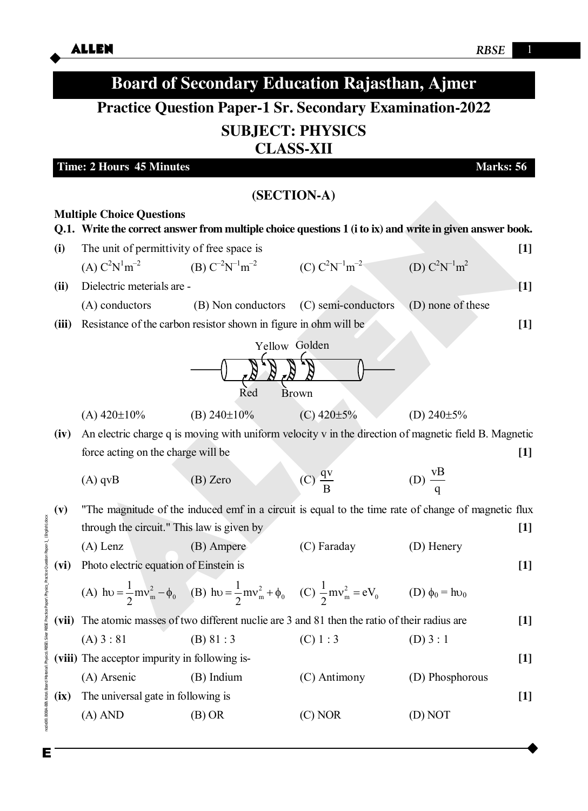

Е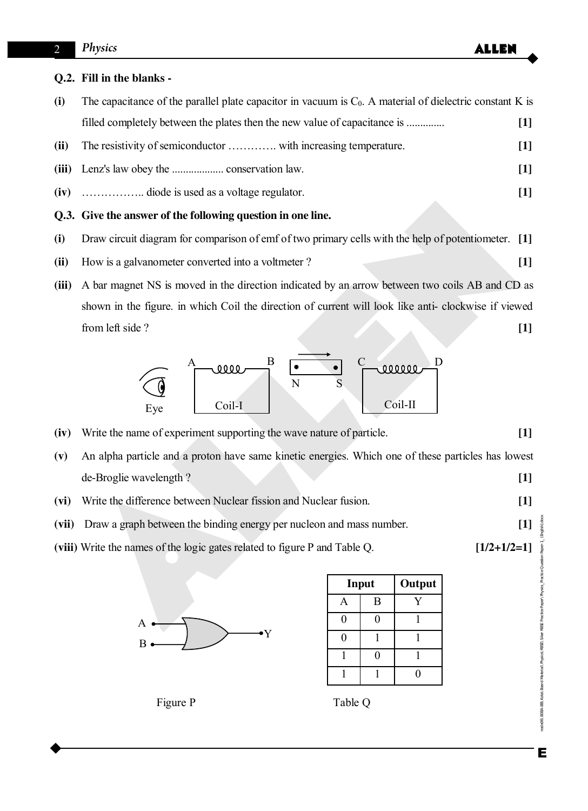## **Q.2. Fill in the blanks -**

|      | Q.3. Give the answer of the following question in one line.                                                |                   |  |
|------|------------------------------------------------------------------------------------------------------------|-------------------|--|
|      |                                                                                                            | $\lceil 1 \rceil$ |  |
|      |                                                                                                            | $[1]$             |  |
| (ii) |                                                                                                            | $[1]$             |  |
|      | filled completely between the plates then the new value of capacitance is                                  | $[1]$             |  |
| (i)  | The capacitance of the parallel plate capacitor in vacuum is $C0$ . A material of dielectric constant K is |                   |  |

- **(i)** Draw circuit diagram for comparison of emf of two primary cells with the help of potentiometer. **[1]**
- **(ii)** How is a galvanometer converted into a voltmeter ? **[1]**
- Cive the answer of the following question in one line.<br>
Draw circuit diagram for comparison of emf of two primary cells with the help of potentiometer. [1]<br>
How is a galvanometer converted into a voltmeter?<br>
A bar magnet **(iii)** A bar magnet NS is moved in the direction indicated by an arrow between two coils AB and CD as shown in the figure. in which Coil the direction of current will look like anti- clockwise if viewed from left side ? **[1]**



- **(iv)** Write the name of experiment supporting the wave nature of particle. **[1]**
- **(v)** An alpha particle and a proton have same kinetic energies. Which one of these particles has lowest de-Broglie wavelength ? **[1]**
- **(vi)** Write the difference between Nuclear fission and Nuclear fusion. **[1]**
- **(vii)** Draw a graph between the binding energy per nucleon and mass number. **[1]**
- **(viii)** Write the names of the logic gates related to figure P and Table Q. **[1/2+1/2=1]**



| Input | Output |
|-------|--------|
| B     |        |
|       |        |
|       |        |
|       |        |
|       |        |

Figure P Table Q

Е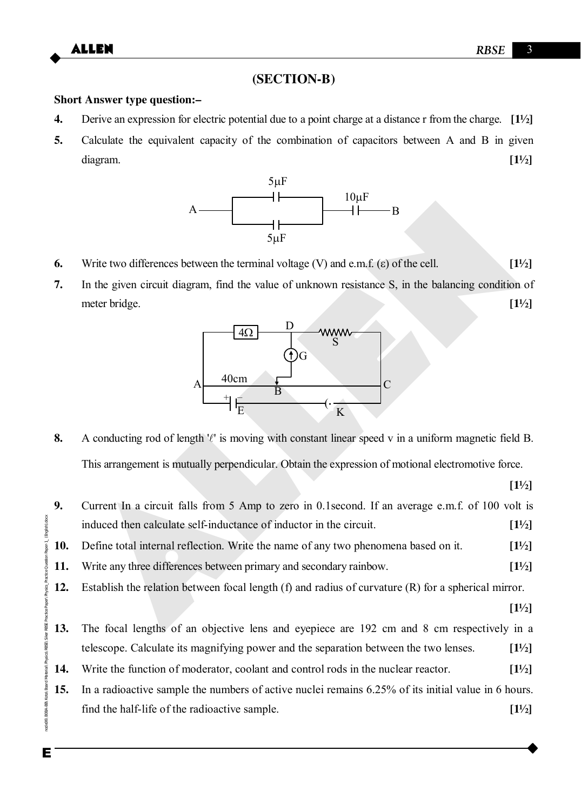# **(SECTION-B)**

## **Short Answer type question:–**

- **4.** Derive an expression for electric potential due to a point charge at a distance r from the charge. **[1½]**
- **5.** Calculate the equivalent capacity of the combination of capacitors between A and B in given diagram. **[1½]**



- **6.** Write two differences between the terminal voltage (V) and e.m.f.  $(\epsilon)$  of the cell.  $[1\frac{1}{2}]$
- **7.** In the given circuit diagram, find the value of unknown resistance S, in the balancing condition of meter bridge. **[1½]**



**8.** A conducting rod of length ' $\ell$ ' is moving with constant linear speed v in a uniform magnetic field B. This arrangement is mutually perpendicular. Obtain the expression of motional electromotive force.

 **[1½]**

A<br>
Figure B<br>
Such the given circuit diagram, find the value of unknown resistance S, in the balancing condition of<br>
meter bridge.<br>
The the given circuit diagram, find the value of unknown resistance S, in the balancing co Enode06\B0BA-BB\Kota\Board Material\Physics\RBSE\Siker RBSE Practice Paper\Physics\_Practice Question Paper-1\_ (English).docx **9.** Current In a circuit falls from 5 Amp to zero in 0.1second. If an average e.m.f. of 100 volt is induced then calculate self-inductance of inductor in the circuit. **[1½] 10.** Define total internal reflection. Write the name of any two phenomena based on it. **[1½] 11.** Write any three differences between primary and secondary rainbow. **[1½] 12.** Establish the relation between focal length (f) and radius of curvature (R) for a spherical mirror.  **[1½] 13.** The focal lengths of an objective lens and eyepiece are 192 cm and 8 cm respectively in a telescope. Calculate its magnifying power and the separation between the two lenses. **[1½] 14.** Write the function of moderator, coolant and control rods in the nuclear reactor. **[1½] 15.** In a radioactive sample the numbers of active nuclei remains 6.25% of its initial value in 6 hours. find the half-life of the radioactive sample. **[1½]**